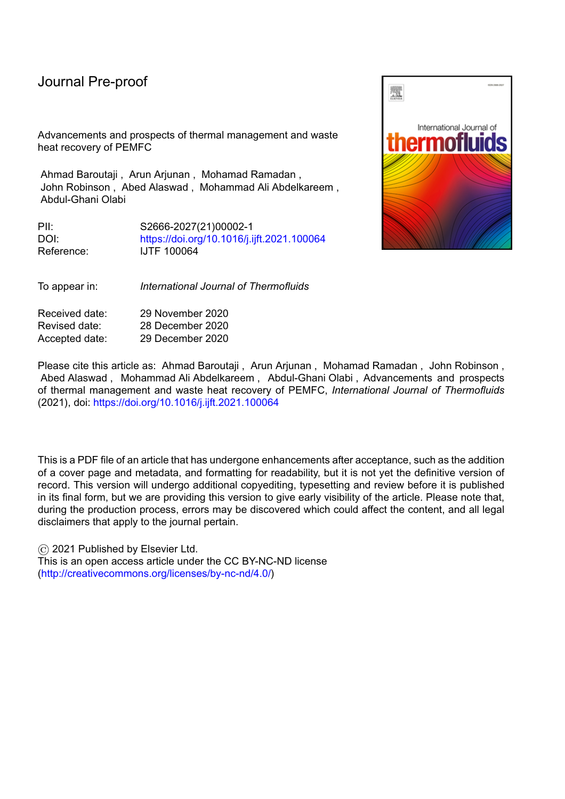Advancements and prospects of thermal management and waste heat recovery of PEMFC

Ahmad Baroutaji , Arun Arjunan , Mohamad Ramadan , John Robinson , Abed Alaswad , Mohammad Ali Abdelkareem , Abdul-Ghani Olabi

PII: S2666-2027(21)00002-1 DOI: <https://doi.org/10.1016/j.ijft.2021.100064> Reference: IJTF 100064

To appear in: *International Journal of Thermofluids*

Received date: 29 November 2020 Revised date: 28 December 2020 Accepted date: 29 December 2020

Please cite this article as: Ahmad Baroutaji , Arun Arjunan , Mohamad Ramadan , John Robinson , Abed Alaswad , Mohammad Ali Abdelkareem , Abdul-Ghani Olabi , Advancements and prospects of thermal management and waste heat recovery of PEMFC, *International Journal of Thermofluids* (2021), doi: <https://doi.org/10.1016/j.ijft.2021.100064>

This is a PDF file of an article that has undergone enhancements after acceptance, such as the addition of a cover page and metadata, and formatting for readability, but it is not yet the definitive version of record. This version will undergo additional copyediting, typesetting and review before it is published in its final form, but we are providing this version to give early visibility of the article. Please note that, during the production process, errors may be discovered which could affect the content, and all legal disclaimers that apply to the journal pertain.

© 2021 Published by Elsevier Ltd. This is an open access article under the CC BY-NC-ND license [\(http://creativecommons.org/licenses/by-nc-nd/4.0/\)](http://creativecommons.org/licenses/by-nc-nd/4.0/)

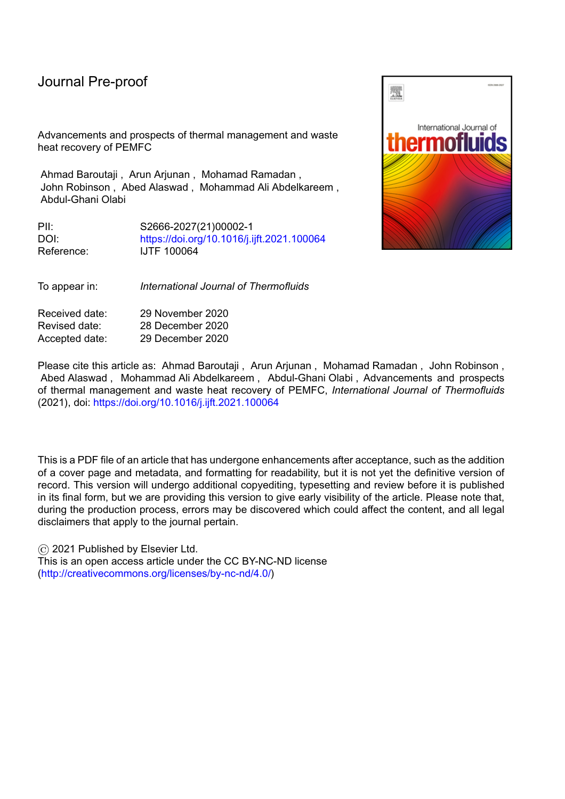#### **Highlights**

The thermal management strategies of PEMFC are reviewed

l

- The waste heat recovery pathways of PEMFC are presented
- The challenges and prospects of the aforementioned areas are discussed

Journal Pierdicot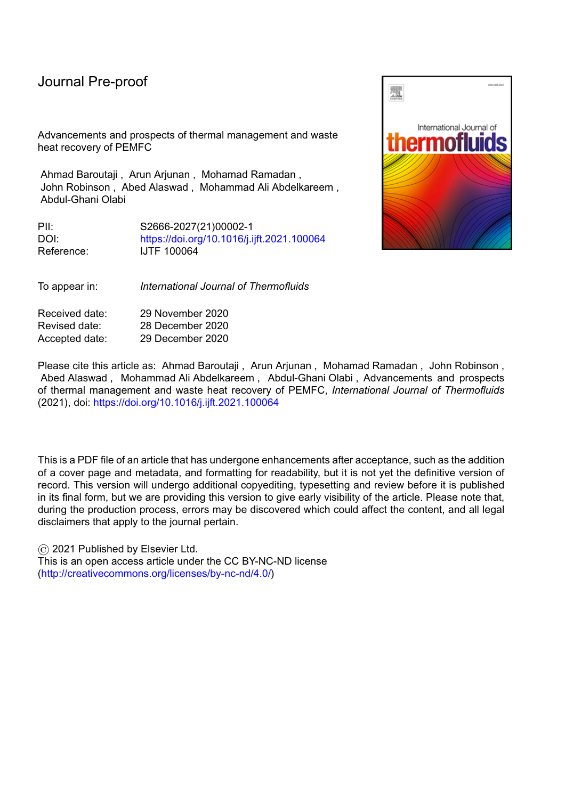# **Advancements and prospects of thermal management and waste heat recovery of PEMFC**

l

Ahmad Baroutaji<sup>1(\*)</sup>, Arun Arjunan<sup>1</sup>, Mohamad Ramadan<sup>2,3</sup>, John Robinson<sup>1</sup>, Abed Alaswad<sup>4</sup>, Mohammad Ali Abdelkareem<sup>5,6</sup>, Abdul-Ghani Olabi<sup>4,5</sup>

*(1)- School of Engineering, Faculty of Science and Engineering, University of Wolverhampton, Telford, United Kingdom, TF2 9NT*

*(2)- International University of Beirut, PO Box 146404, Beirut, Lebanon*

*(3)- Associate Member at FCLAB, CNRS, Univ. Bourgogne Franche-Comte, Belfort Cedex, France*

*(4)- School of Engineering and Applied Science, Aston University, Aston Triangle, Birmingham B4 7ET, UK*

*(5)- Dept. of Sustainable and Renewable Energy Engineering, University of Sharjah, P.O. Box 27272, Sharjah, UAE*

*(6)- Chemical Engineering Department, Minia University, Elminia, Egypt*

#### **Abstract**

Despite that the Proton Exchange Membrane Fuel Cell (PEMFC) is considered to be an efficient power device; around half of the energy produced from the electrochemical reaction is dissipated as heat due to irreversibility of the cathodic reaction, Ohmic resistance, and mass transport overpotentials. Effective heat removal from the PEMFC, via cooling, is very important to maintain the cell/stack at a uniform operating temperature ensuring the durability of the device as excessive operating temperature may dry out the membrane and reduces the surface area of the catalyst hence lowering the performance of the cell. In addition to cooling, capturing the produced heat and repurposing it using one of the Waste Heat Recovery (WHR) technologies is an effective approach to add a great economic value to the PEMFC power system. Global warming, climate change, and the high cost of energy production are the main drivers to improve the energy efficiency of PEMFC using WHR.

This paper presents an overview of the recent progress concerning the cooling strategies and WHR opportunities for PEMFC. The main cooling techniques of PEMFCs are described and evaluated with respect to their advantages and disadvantages. Additionally, the potential pathways for PEMFC-WHR including heating, cooling, and power generation are explored and assessed. Furthermore, the main challenges and the research prospects for the cooling strategies and WHR of PEMFCs are discussed.

**Keywords**: Waste heat recovery, thermal management, cooling, CHP, CCP, PEMFC, Hydrogen

Dr Ahmad Baroutaji

**Corresponding author** 

School of Engineering, University of Wolverhampton, Telford Innovation Campus, Priorslee, Telford, TF2 9NT, UK Tel: +44 (0)1902 322981; fax: +44 (0)1902 323843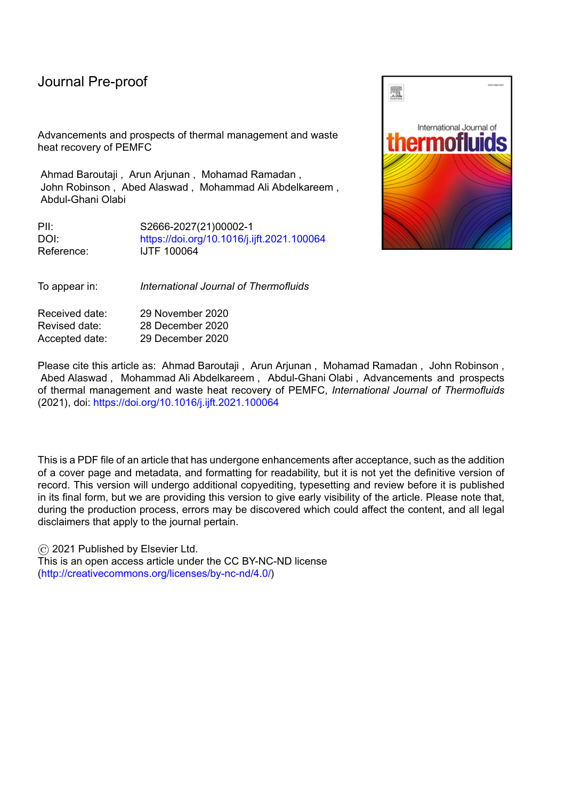#### **1. Introduction**

The unfavourable environmental impact of fossil fuel and its role in global warming and pollution continue to receive public and government attention where finding an alternative energy source is at the centre of any new legislation and a hot discussion topic in the parliament. Hydrogen was always regarded as an alternative to the traditional fossil fuel which can be burned, in the internal combustion engines, or used in the fuel cells, such as PEMFC, to generate power; virtually without producing any Greenhouse Gas (GHG) emissions [1], [2]. PEMFCs are promising power generation devices which were suggested for a wide range of applications such as automotive [3], railway [4], aviation and aerospace [5], maritime [6], portable devices [7], power plants [8], and energy storage systems [9]. PEMFC produces electricity as a result of the electrochemical reaction between hydrogen and oxygen [10]–[12]. Along with the electricity, heat and water are also produced as by-products in the PEMFC. Effective management of the produced heat and water is extremely important to enhance the energy efficiency and the durability of the device [13]. Heat/thermal management of the PEMFC is normally achieved via employing a suitable cooling strategy depending on the power and application of the stack. Cooling the fuel cell device can be either passive or active. In the passive cooling, the heat is dissipated via natural convection, conduction and radiation modes without using any external device. Such cooling is normally secured through the use of heat spreader and heat pipes. Passive cooling is simple, inexpensive, easy to implement, and has high energy efficiency and low noise due to the absence of fan. However, it has very low cooling capacity and can only be used for small PEMFCs [14]. Active cooling utilizes an external device, such as a fan or blower, to enhance heat transfer and to achieve the required amount of heat rejection. Normally in the active cooling, the PEMFC heat is transferred to a cooling fluid which passes through the stack increasing its temperature. The temperature of the cooling fluid is then decreased actively in the radiator which releases the heat to the environment. In some cases, the thermal management via active cooling requires controlling the main operation parameters of the system, such as coolant flow rate and coolant inlet temperature, using a proper control system such as proportional integral (PI) controller [15]–[17].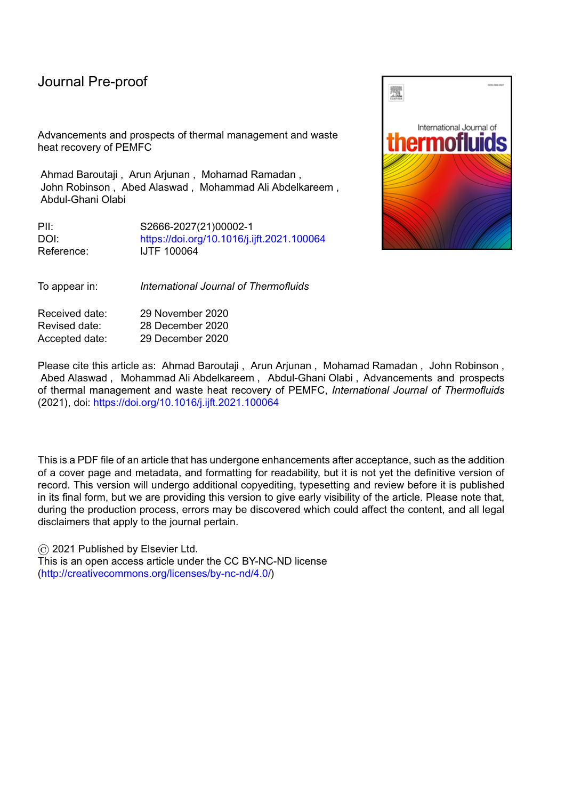l

Improving the energy efficiency of the PEMFC is the key for making the technology more economically viable while maintaining its sustainability. Waste heat recovery (WHR) has emerged as an effective strategy for enhancing the energy efficiency of the PEMFC and reducing its operational cost while minimizing GHG emissions. WHR means capturing the heat loss within the system and utilizing it instead of discharging it to the environment [18], [19]. The captured waste heat can be converted back to electricity, mechanical power, or additional heat for use in targeted functions allowing for energy-saving [20]. The viability and limitations of WHR for a particular system depend on the temperature of the waste heat source [21]. Thus, the temperature of the waste heat is the main factor that determines the possible exploiting routes of it. In the context of an industrial process, waste heat temperature ranges from as low as 30°C to more than 1000°C [22]. Accordingly, waste heat is normally classified into high, medium and low-grade heat corresponding to the temperature level of  $>400$  °C, 100–400 °C, and < 100 °C, respectively [23], [24]. Generally, the higher the temperature of the waste heat, the better its quality, and the easier to be retrieved. Recovering low-grade heat is more challenging and less feasible than recovering high and medium grade heat [22]. The temperature of waste heat from both low temperature (LT) and high temperature (HT) PEMFCs is between 60°C and 200°C [25]–[27]. Generally, the waste heat of HT-PEMFC has better quality than that of LT-PEMFC since it has a higher temperature levels of up to 200 °C [28]. However, the waste heat of both LT-PEMFC and HT-PEMFC falls within the low-medium grade category imposing some WHR difficulties.

Due to their significant impacts on the performance, energy efficiency, and sustainability, the thermal management and WHR of PEMFCs have gained a great deal of studies in the recent years leading to dramatic and interesting developments in the field. This paper aims to presents the latest trends in those interconnected areas highlighting the main challenges and identifying related prospects.

#### **2. Mechanisms of heat generation and heat transfer in a PEMFC**

Generally, the heat in a PEMFC is generated from different sources including electrochemical reactions between the hydrogen and oxygen, Ohmic resistance of the membrane, and condensation of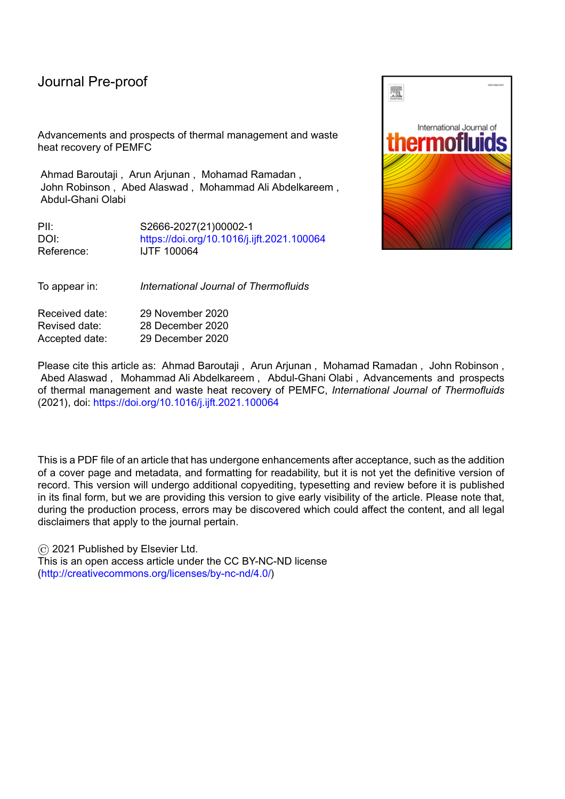l

water vapour [29]. As it is known, the fuel cell generates electrical power from an electrochemical reaction between hydrogen and oxygen; hence the chemical energy of the fuel which is not converted into electricity is released as heat. Heat accounts for around 50% of the total energy produced by the electrochemical reactions [30]. Thus, the heat flux of a fuel cell can be quantified as shown in equation 1

 $1$ 

Where is the thermal voltage; is the cell operating voltage; and i is the current density. represents the imaginary maximum possible cell potential assuming full conversion of the chemical energy into electrical power. equals either to 1.25 V if it is calculated based on higher heating value (HHV) with liquid water as a by-product of the reaction or 1.48 V if it is calculated based on lower heating value (LHV) with water vapour as the by-product of the reaction. It is clear from the equation that increases as the current density increases and the cell voltage decreases.

The heat of the PEMFC is generated in certain regions of the cell leading to non-homogenous temperature distribution within the device. The local heat flux greatly affects the performance and the durability of PEMFCs. Accurate estimation of the local heat generation within each region of the cell is somewhat complex. According to Ramousse et al [31], part of PEMFC heat is generated due to Joule effects, i.e. the protonic resistance of the electrolyte, and it is localized in the membrane region. Another part of the heat is produced at the electrodes and it is due to the electrochemical reactions taking place at those regions. Additionally, part of the heat is generated due to water sorption phenomena and it is localized at the membrane–electrode interfaces. Finally, some heat might be generated in the GDL layer due to the condensation of water. The generated heat within the PEMFC is transferred via different modes. Convective heat transfer occurs between the solid surfaces of the cell components and the flowing reactants; and conductive heat transfer occurs in the solid and/or porous materials of the device including electrolyte, electrodes and current interconnect layers [32].

#### **3. Thermal management strategies of PEMFC stacks**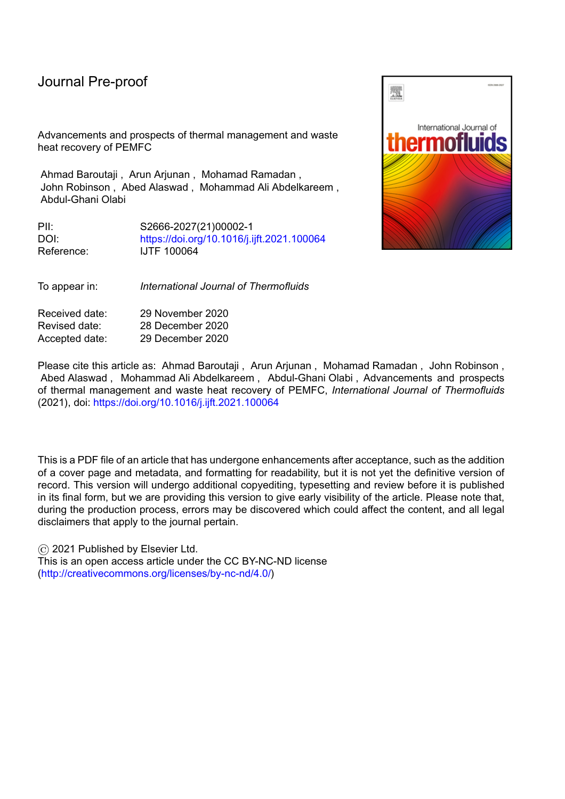l

Thermal management of the PEMFC means removing the heat produced by the device and maintaining an acceptable working temperature for it. The thermal management is achieved via applying one of four main cooling strategies including heat spreader, air cooling, liquid cooling, and phase change cooling as shown in Figure 1. Choosing a suitable cooling strategy for a specific PEMFC depends mainly on its power level. Each cooling method employs specific cooling materials which must be non-toxic, non-flammable, and chemically compatible with the materials used for the PEMFC components [33].

#### *3.1 Heat spreaders*

The heat spreader is one of the passive cooling techniques for PEMFC. This cooling method provides many advantages including the simple design, low parasitic loses, and no need for coolant circulation systems; thereby improving the overall efficiency of the stack [34]. The heat spreaders of the PEMFC can be in the form of a highly thermally conductive material, heat pipes, or vapour chamber.

#### *3.1.1.Heat spreader in the form of highly thermally conductive material*

In this method, highly thermally conductive materials are used as spreaders that absorb the heat from the central region of PEMFC stack and then transfer it to the edge of the cells and finally dissipate it to the surrounding air through natural convection [35]. Copper, with its excellent thermal conductivity (about 400 W/m K), is the most commonly used material for fabricating heat spreaders. Aluminium is another suitable material for application as heat spreaders for lightweight PEMFC stack due to its combined high thermal conductivity (about 200 W/m K) and low-density characteristics. Additionally, carbon nanotube (CNT) and graphene, with their thermal conductivities in the range of 3000– 5000 W/m K, may also be employed as high-rate heat spreader materials [36]. Furthermore, lowdensity graphite-based material such as expanded graphite and pyrolytic graphite with thermal conductivity of 600–1000 W/mK could also be used [34].

The feasibility of applying a highly thermal conductivity pyrolytic graphite sheet (PGS) as heat spreaders for the thermal management of single-cell and small-to-medium-sized PEMFC stack was investigated by many researchers [37]–[39]. Wen and Huang [37] used a PGS heat spreader for single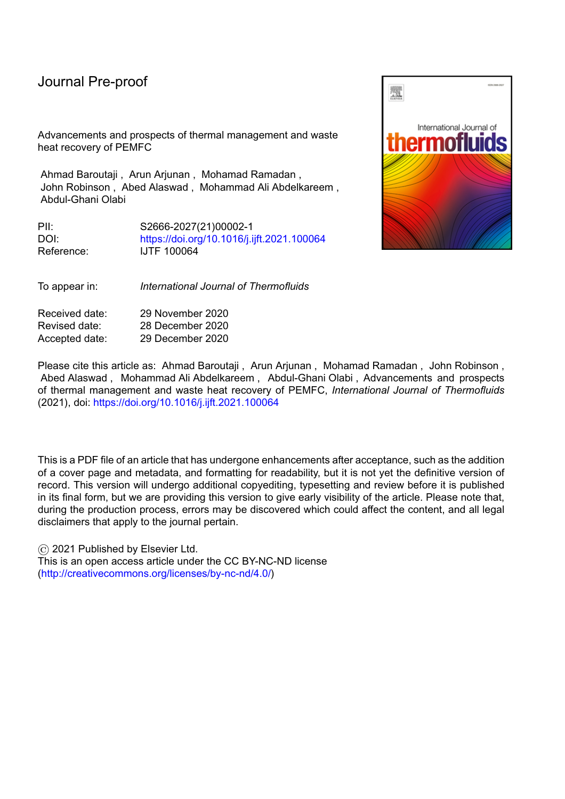no. 9, pp. 5096–5112, Mar. 2016.

- [72] I. A. Zakaria, W. A. N. W. Mohamed, M. B. Zailan, and W. H. Azmi, "Experimental analysis of SiO2-Distilled water nanofluids in a Polymer Electrolyte Membrane fuel cell parallel channel cooling plate," *Int. J. Hydrogen Energy*, vol. 44, no. 47, pp. 25850–25862, Oct. 2019.
- [73] M. R. Sohel, S. S. Khaleduzzaman, R. Saidur, A. Hepbasli, M. F. M. Sabri, and I. M. Mahbubul, "An experimental investigation of heat transfer enhancement of a minichannel heat sink using Al2O3-H2O nanofluid," *Int. J. Heat Mass Transf.*, vol. 74, pp. 164–172, Jul. 2014.
- [74] M. K. Moraveji and R. M. Ardehali, "CFD modeling (comparing single and two-phase approaches) on thermal performance of Al2o3/water nanofluid in mini-channel heat sink," *Int. Commun. Heat Mass Transf.*, vol. 44, pp. 157–164, May 2013.
- [75] H. Jouhara, A. abnie ska-Góra, N. Khordehgah, D. Ahmad, and T. Lipinski, "Latent thermal energy storage technologies and applications: A review," *Int. J. Thermofluids*, vol. 5–6, p. 100039, Aug. 2020.
- [76] U. Soupremanien, S. Le Person, M. Favre-Marinet, and Y. Bultel, "Tools for designing the cooling system of a proton exchange membrane fuel cell," *Appl. Therm. Eng.*, vol. 40, pp. 161–173, Jul. 2012.
- [77] S. H. Hwang and M. S. Kim, "An experimental study on the cathode humidification and evaporative cooling of polymer electrolyte membrane fuel cells using direct water injection method at high current densities," *Appl. Therm. Eng.*, vol. 99, pp. 635–644, Apr. 2016.
- [78] D. L. Wood, J. S. Yi, and T. V. Nguyen, "Effect of direct liquid water injection and interdigitated flow field on the performance of proton exchange membrane fuel cells," *Electrochim. Acta*, vol. 43, no. 24, pp. 3795–3809, Aug. 1998.
- [79] A. Fly and R. H. Thring, "Temperature regulation in an evaporatively cooled proton exchange membrane fuel cell stack," in *International Journal of Hydrogen Energy*, 2015, vol. 40, no. 35,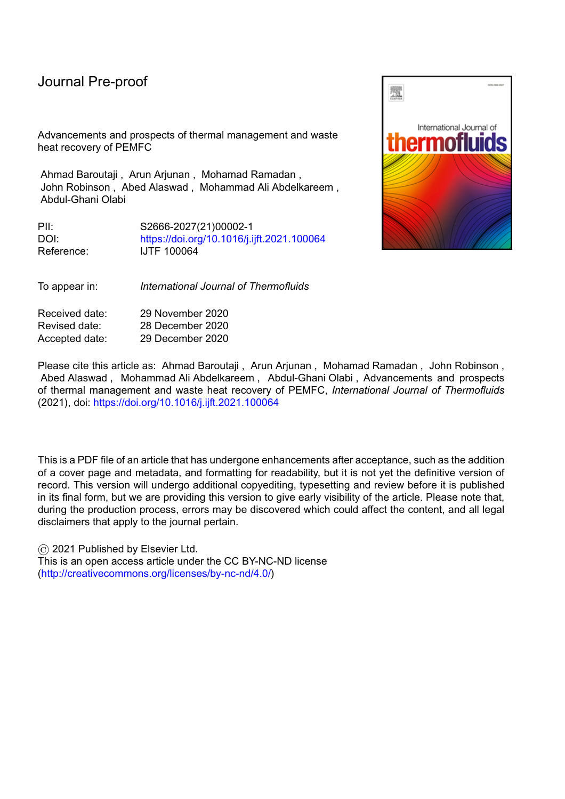#### Journal

pp. 11976–11982.

- [80] A. Z. Weber and R. M. Darling, "Understanding porous water-transport plates in polymerelectrolyte fuel cells," *J. Power Sources*, vol. 168, no. 1 SPEC. ISS., pp. 191–199, May 2007.
- [81] K. M. Oseen-Senda, F. Lundell, A. Hillenbach, and J. Pauchet, "The cooling of PEFC with pentane boiling in minichannels: A study of flow instabilities using neutron radiography visualization," *Heat Transf. Eng.*, vol. 28, no. 1, pp. 49–57, Jan. 2007.
- [82] T. W. Song, K. H. Choi, J. R. Kim, and J. S. Yi, "Pumpless thermal management of watercooled high-temperature proton exchange membrane fuel cells," *J. Power Sources*, vol. 196, no. 10, pp. 4671–4679, May 2011.
- [83] E. J. Choi, J. Y. Park, and M. S. Kim, "A comparison of temperature distribution in PEMFC with single-phase water cooling and two-phase HFE-7100 cooling methods by numerical study," *Int. J. Hydrogen Energy*, vol. 43, no. 29, pp. 13406–13419, Jul. 2018.
- [84] P. T. Garrity, J. F. Klausner, and R. Mei, "A flow boiling microchannel evaporator plate for fuel cell thermal management," *Heat Transf. Eng.*, vol. 28, no. 10, pp. 877–884, Oct. 2007.
- [85] A. G. Olabi, T. Wilberforce, E. T. Sayed, K. Elsaid, and M. A. Abdelkareem, "Prospects of Fuel Cell Combined Heat and Power Systems," *Energies*, vol. 13, no. 16, p. 4104, Aug. 2020.
- [86] A. P. Tetuko, B. Shabani, and J. Andrews, "Thermal coupling of PEM fuel cell and metal hydride hydrogen storage using heat pipes," *Int. J. Hydrogen Energy*, vol. 41, no. 7, pp. 4264– 4277, Feb. 2016.
- [87] A. P. Tetuko, B. Shabani, R. Omrani, B. Paul, and J. Andrews, "Study of a thermal bridging approach using heat pipes for simultaneous fuel cell cooling and metal hydride hydrogen discharge rate enhancement," *J. Power Sources*, vol. 397, pp. 177–188, Sep. 2018.
- [88] F. Mahmoodi and R. Rahimi, "Experimental and numerical investigating a new configured thermal coupling between metal hydride tank and PEM fuel cell using heat pipes," *Appl.*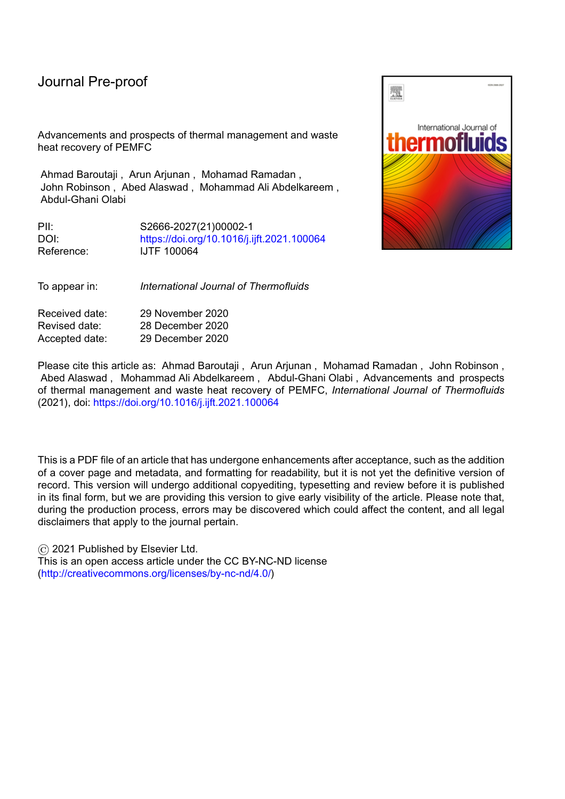*Therm. Eng.*, vol. 178, p. 115490, Sep. 2020.

- [89] M. Nasri *et al.*, "Waste Heat Recovery for Fuel Cell Electric Vehicle with Thermochemical Energy Storage," in *2016 11th International Conference on Ecological Vehicles and Renewable Energies, EVER 2016*, 2016.
- [90] A. P. Sasmito, T. Shamim, and A. S. Mujumdar, "Passive thermal management for PEM fuel cell stack under cold weather condition using phase change materials (PCM)," *Appl. Therm. Eng.*, vol. 58, no. 1–2, pp. 615–625, Sep. 2013.
- [91] H. Q. Nguyen, A. M. Aris, and B. Shabani, "PEM fuel cell heat recovery for preheating inlet air in standalone solar-hydrogen systems for telecommunication applications: An exergy analysis," *Int. J. Hydrogen Energy*, vol. 41, no. 4, pp. 2987–3003, Jan. 2016.
- [92] H. R. Ellamla, I. Staffell, P. Bujlo, B. G. Pollet, and S. Pasupathi, "Current status of fuel cell based combined heat and power systems for residential sector," *Journal of Power Sources*, vol. 293. Elsevier B.V., pp. 312–328, 30-May-2015.
- [93] A. Arsalis, "A comprehensive review of fuel cell-based micro-combined-heat-and-power systems," *Renewable and Sustainable Energy Reviews*, vol. 105. Elsevier Ltd, pp. 391–414, 01-May-2019.
- [94] G. Di Marcoberardino, G. Manzolini, C. Guignard, and V. Magaud, "Optimization of a micro-CHP system based on polymer electrolyte membrane fuel cell and membrane reactor from economic and life cycle assessment point of view," *Chem. Eng. Process. - Process Intensif.*, vol. 131, pp. 70–83, Sep. 2018.
- [95] X. Chen *et al.*, "Multi-criteria assessment and optimization study on 5 kW PEMFC based residential CCHP system," *Energy Convers. Manag.*, vol. 160, pp. 384–395, Mar. 2018.
- [96] H. Chang, X. Xu, J. Shen, S. Shu, and Z. Tu, "Performance analysis of a micro-combined heating and power system with PEM fuel cell as a prime mover for a typical household in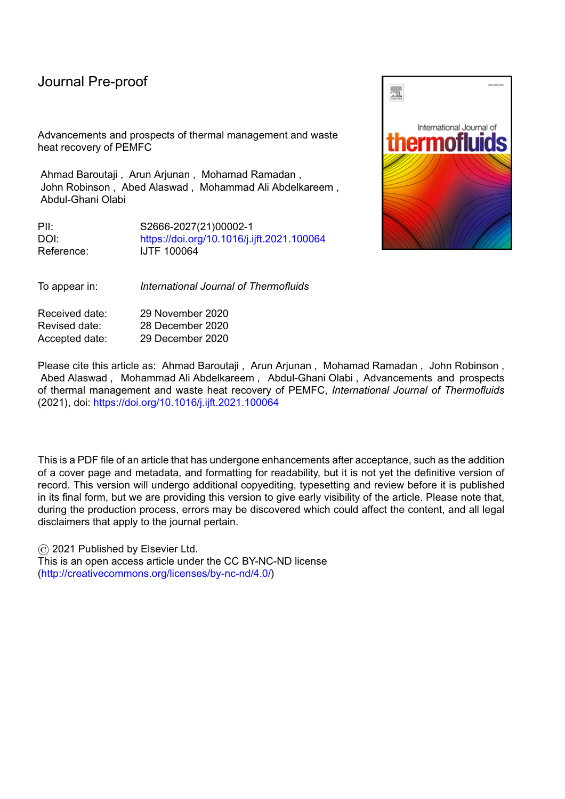North China," *Int. J. Hydrogen Energy*, vol. 44, no. 45, pp. 24965–24976, Sep. 2019.

- [97] M. Chahartaghi and B. A. Kharkeshi, "Performance analysis of a combined cooling, heating and power system with PEM fuel cell as a prime mover," *Appl. Therm. Eng.*, vol. 128, pp. 805–817, Jan. 2018.
- [98] P. Yang and H. Zhang, "Parametric analysis of an irreversible proton exchange membrane fuel cell/absorption refrigerator hybrid system," *Energy*, vol. 85, pp. 458–467, Jun. 2015.
- [99] M. V. Oro, R. G. de Oliveira, and E. Bazzo, "An integrated solution for waste heat recovery from fuel cells applied to adsorption systems," *Appl. Therm. Eng.*, vol. 136, pp. 747–754, May 2018.
- [100] T. He, R. Shi, J. Peng, W. Zhuge, and Y. Zhang, "Waste Heat Recovery of a PEMFC System by Using Organic Rankine Cycle," *Energies*, vol. 9, no. 4, p. 267, Apr. 2016.
- [101] P. Zhao, J. Wang, L. Gao, and Y. Dai, "Parametric analysis of a hybrid power system using organic Rankine cycle to recover waste heat from proton exchange membrane fuel cell," *Int. J. Hydrogen Energy*, vol. 37, no. 4, pp. 3382–3391, Feb. 2012.
- [102] M. A. Sheshpoli, S. S. M. Ajarostaghi, and M. A. Delavar, "Thermodynamic analysis of waste heat recovery from hybrid system of proton exchange membrane fuel cell and vapor compression refrigeration cycle by recuperative organic Rankine cycle," *J. Therm. Anal. Calorim.*, vol. 135, no. 3, pp. 1699–1712, Feb. 2019.
- [103] M. Alijanpour sheshpoli, S. S. Mousavi Ajarostaghi, and M. A. Delavar, "Waste heat recovery from a 1180 kW proton exchange membrane fuel cell (PEMFC) system by Recuperative organic Rankine cycle (RORC)," *Energy*, vol. 157, pp. 353–366, Aug. 2018.
- [104] M. H. Ahmadi *et al.*, "Thermodynamic analysis and optimization of a waste heat recovery system for proton exchange membrane fuel cell using transcritical carbon dioxide cycle and cold energy of liquefied natural gas," *J. Nat. Gas Sci. Eng.*, vol. 34, pp. 428–438, Aug. 2016.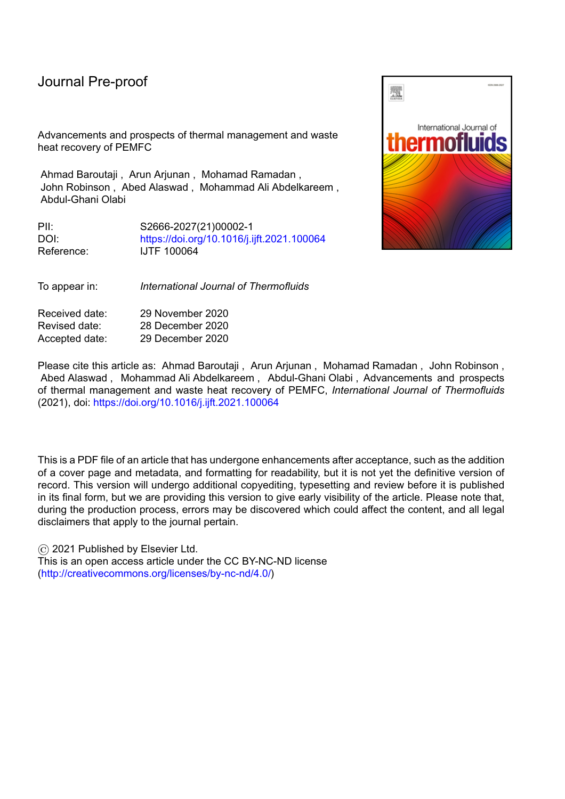[105] M. Saufi Sulaiman, B. Singh, and W. A. N. W. Mohamed, "Experimental and theoretical study of thermoelectric generator waste heat recovery model for an ultra-low temperature PEM fuel cell powered vehicle," *Energy*, vol. 179, pp. 628–646, Jul. 2019.

- [106] M. Alam, K. Kumar, and V. Dutta, "Dynamic modeling and experimental analysis of waste heat recovery from the proton exchange membrane fuel cell using thermoelectric generator," *Therm. Sci. Eng. Prog.*, vol. 19, p. 100627, Oct. 2020.
- [107] A. Baroutaji, A. Arjunan, M. Stanford, J. Robinson, and A. G. Olabi, "Deformation and energy absorption of additively manufactured functionally graded thickness thin-walled circular tubes under lateral crushing," *Eng. Struct.*, vol. 226, 2021.
- [108] A. Arjunan, M. Singh, A. Baroutaji, and C. Wang, "Additively manufactured AlSi10Mg inherently stable thin and thick-walled lattice with negative Poisson's ratio," *Compos. Struct.*, vol. 247, Sep. 2020.
- [109] A. Arjunan, M. Demetriou, A. Baroutaji, and C. Wang, "Mechanical performance of highly permeable laser melted Ti6Al4V bone scaffolds," *J. Mech. Behav. Biomed. Mater.*, 2020.
- [110] A. Arjunan, J. Robinson, E. Al Ani, W. Heaselgrave, A. Baroutaji, and C. Wang, "Mechanical performance of additively manufactured pure silver antibacterial bone scaffolds," *J. Mech. Behav. Biomed. Mater.*, vol. 112, p. 104090, Dec. 2020.
- [111] J. Robinson, M. Stanford, and A. Arjunan, "Correlation between selective laser melting parameters, pore defects and tensile properties of 99.9 % silver," *Mater. Today Commun.*, vol. 25, p. 101550, Dec. 2020.
- [112] J. Robinson, M. Stanford, and A. Arjunan, "Stable formation of powder bed laser fused 99.9% silver," *Mater. Today Commun.*, vol. 24, p. 101195, Sep. 2020.
- [113] M. I. Hassan Ali, O. Al-Ketan, M. Khalil, N. Baobaid, K. Khan, and R. K. Abu Al-Rub, "3D printed architected heat sinks cooling performance in free and forced convection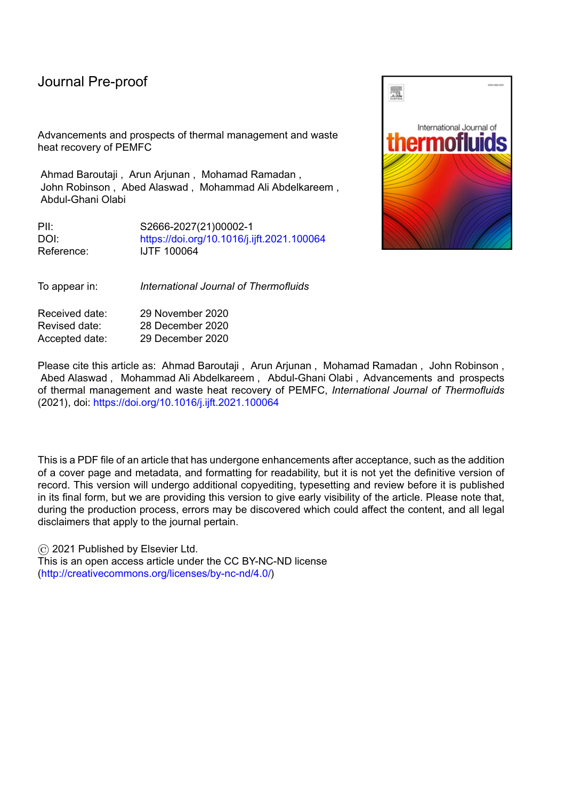environments," in *ASME 2020 Heat Transfer Summer Conference, HT 2020, collocated with the ASME 2020 Fluids Engineering Division Summer Meeting and the ASME 2020 18th International Conference on Nanochannels, Microchannels, and Minichannels*, 2020.

- [114] M. I. Hassan Ali, O. Al-Ketan, A. Alhammadi, M. Khalil, K. Khan, and R. K. Abu Al-Rub, "Heat transfer characterization of 3D printable architected heat sinks," in *ASME International Mechanical Engineering Congress and Exposition, Proceedings (IMECE)*, 2019, vol. 8.
- [115] D. W. Abueidda, R. K. Abu Al-Rub, A. S. Dalaq, D. W. Lee, K. A. Khan, and I. Jasiuk, "Effective conductivities and elastic moduli of novel foams with triply periodic minimal surfaces," *Mech. Mater.*, vol. 95, pp. 102–115, Apr. 2016.
- [116] N. Thomas, N. Sreedhar, O. Al-Ketan, R. Rowshan, R. K. Abu Al-Rub, and H. Arafat, "3D printed triply periodic minimal surfaces as spacers for enhanced heat and mass transfer in membrane distillation," *Desalination*, vol. 443, pp. 256–271, Oct. 2018.
- [117] W. Li, G. Yu, and Z. Yu, "Bioinspired heat exchangers based on triply periodic minimal surfaces for supercritical CO2 cycles," *Appl. Therm. Eng.*, vol. 179, p. 115686, Oct. 2020.
- [118] E. Woolley, Y. Luo, and A. Simeone, "Industrial waste heat recovery: A systematic approach," *Sustain. Energy Technol. Assessments*, vol. 29, pp. 50–59, Oct. 2018.
- [119] V. Rezaee and A. Houshmand, "Energy and exergy analysis of a combined power generation system using PEM fuel cell and kalina cycle system 11," *Period. Polytech. Chem. Eng.*, vol. 60, no. 2, pp. 98–105, 2016.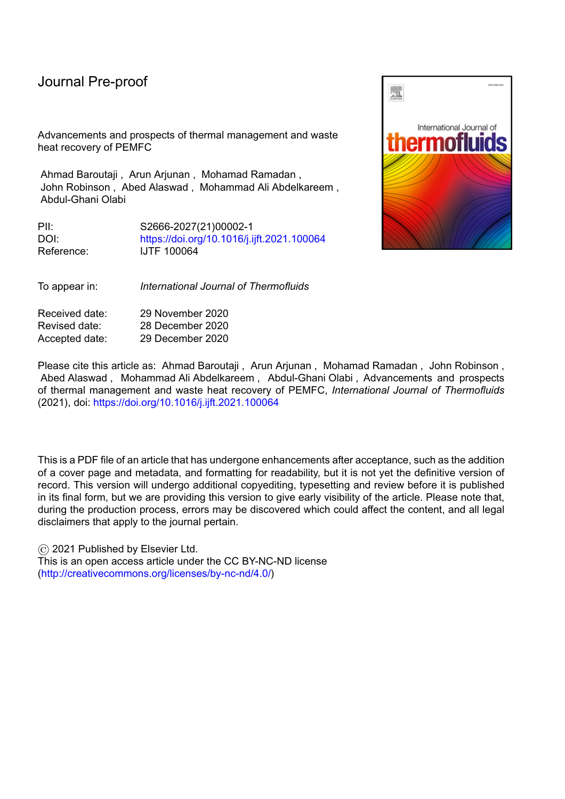

Figure 1: Main cooling strategies of PEMFC

Journal Pre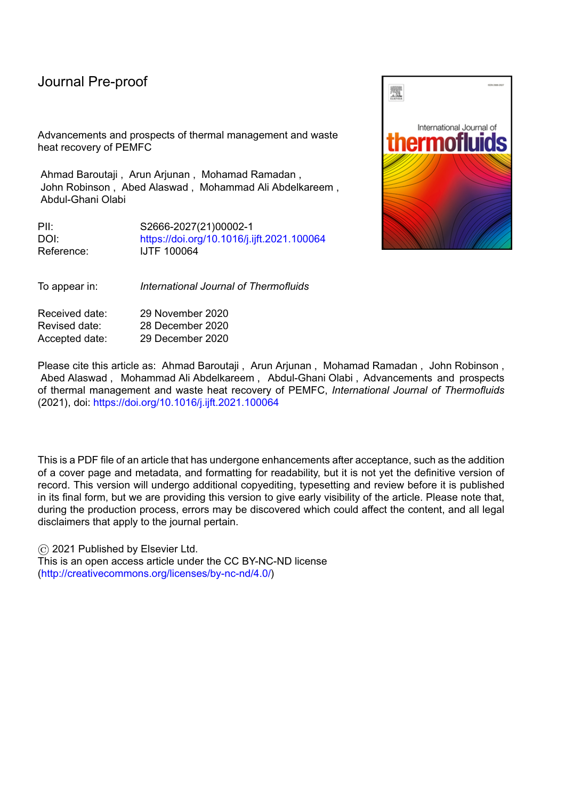l



July 2 Pipe working working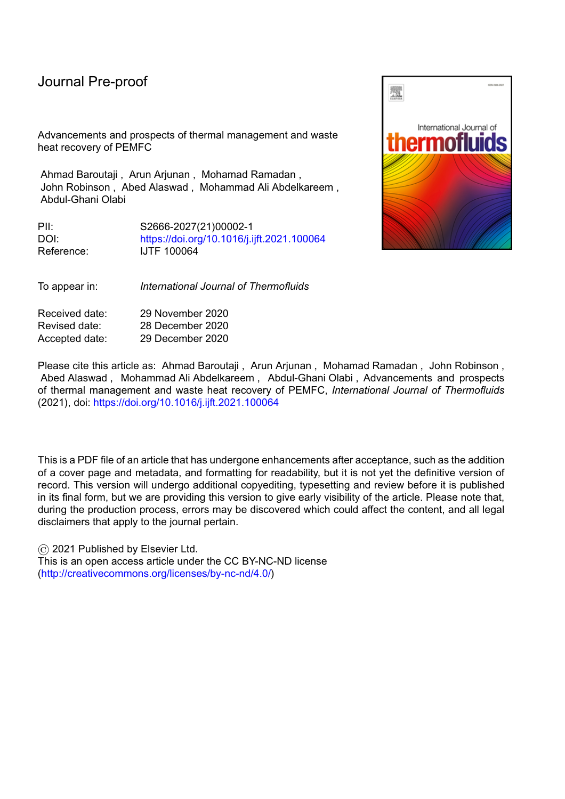

Figure 3: Air-flow cooling channels design [56]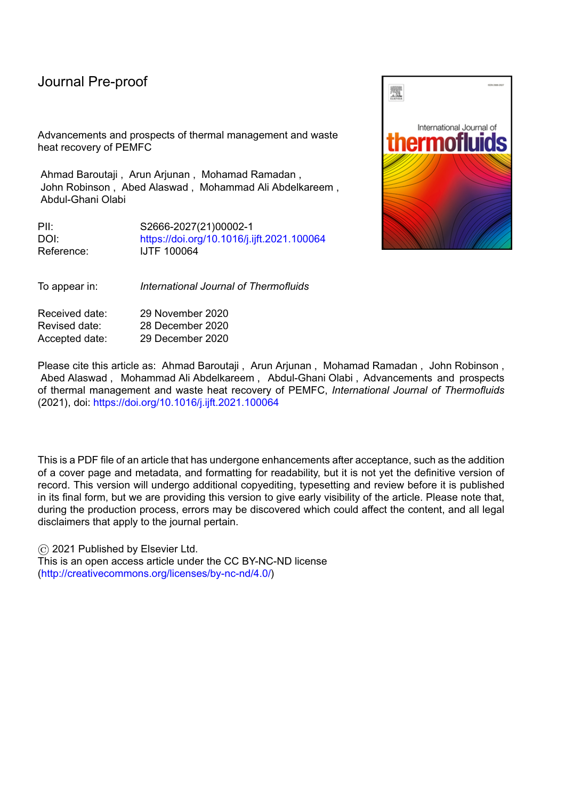

Figure 4: PEMFC design with combined oxidant and cooling channels [57]

S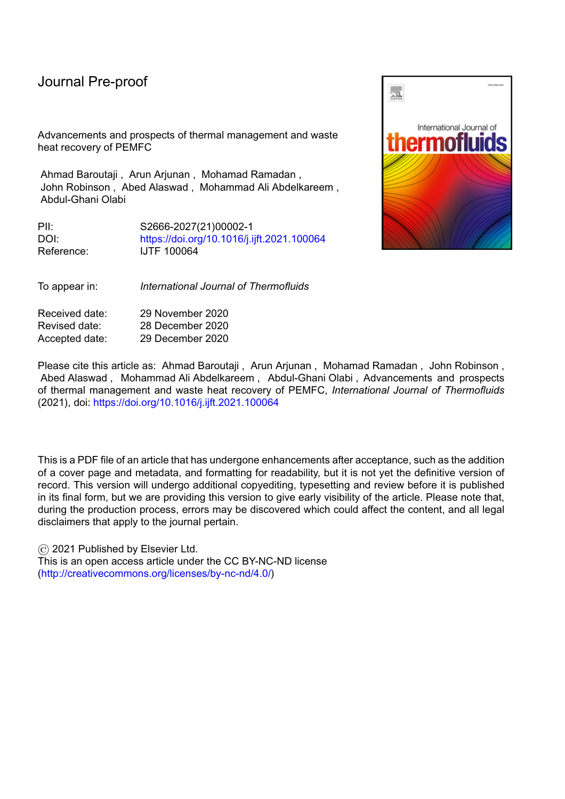l



Figure 5: Cooling plates designs investigated by [58]

RIC La S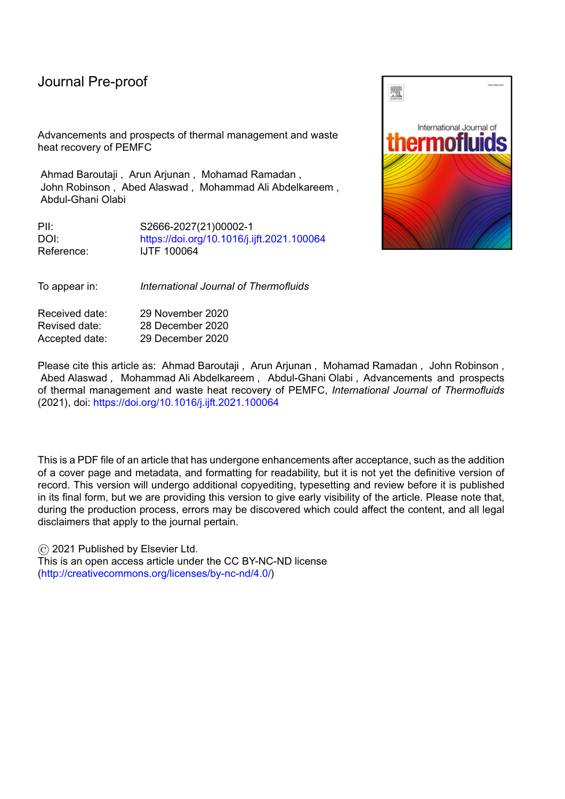

Figure 6: Typical cooling system of PEMFC using water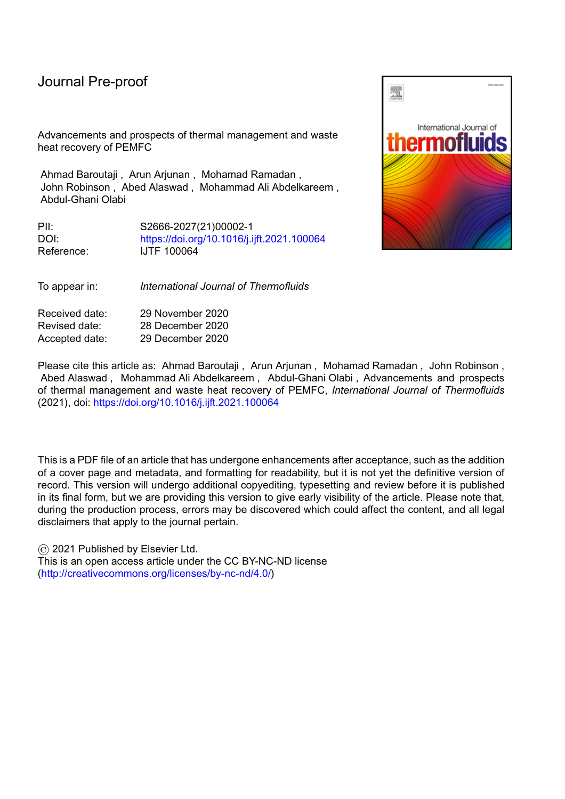

Figure 7: Coolant flow field designs studied by Baek et al. [61]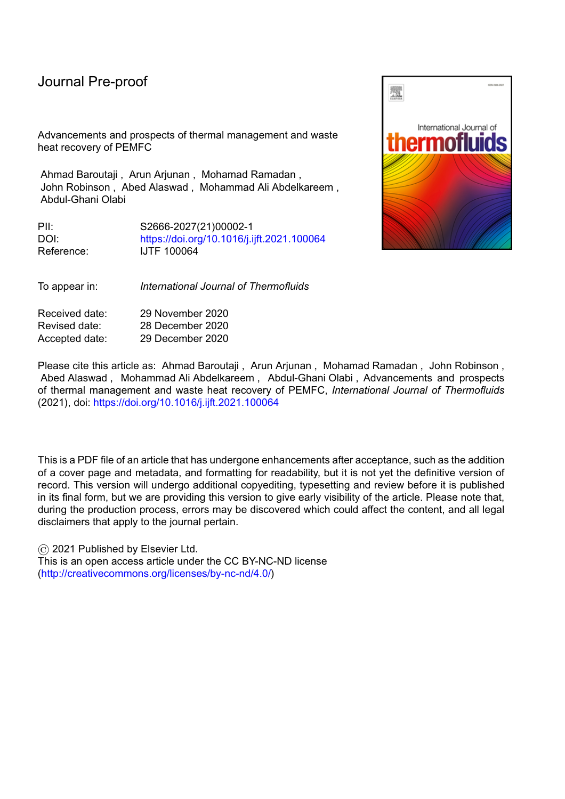

Figure 8: Straight and zigzag flow channels [63]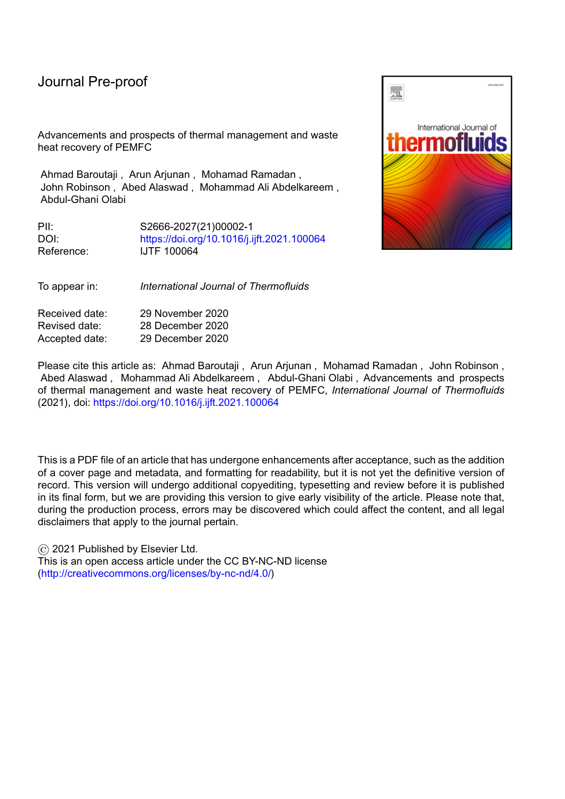

Figure 9: Coolant flow fields investigated by Ghasemi *et al.* [64]*:* (a) serpentine (b) multi-pass serpentine (c) serpentine with different distances between the channels (d) parallel-serpentine (e) spiral (f) parallel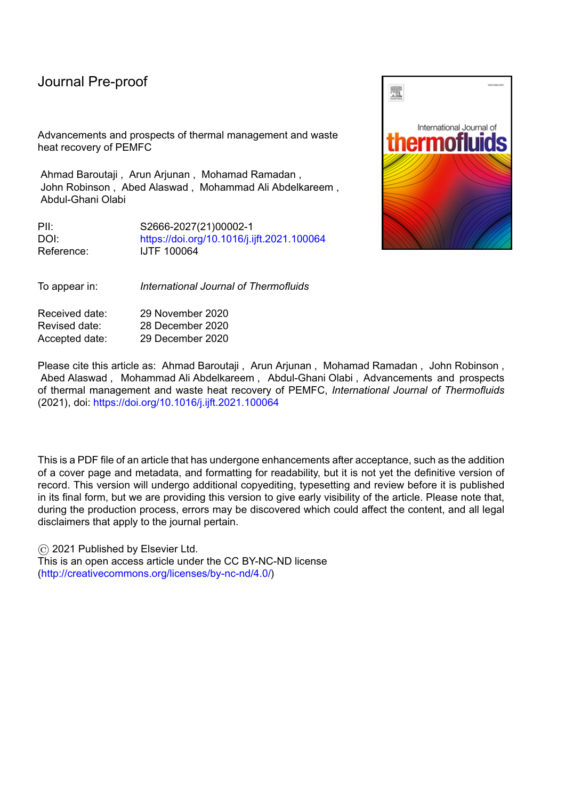

Figure 10: PEMFC waste heat recovery options

C

SIE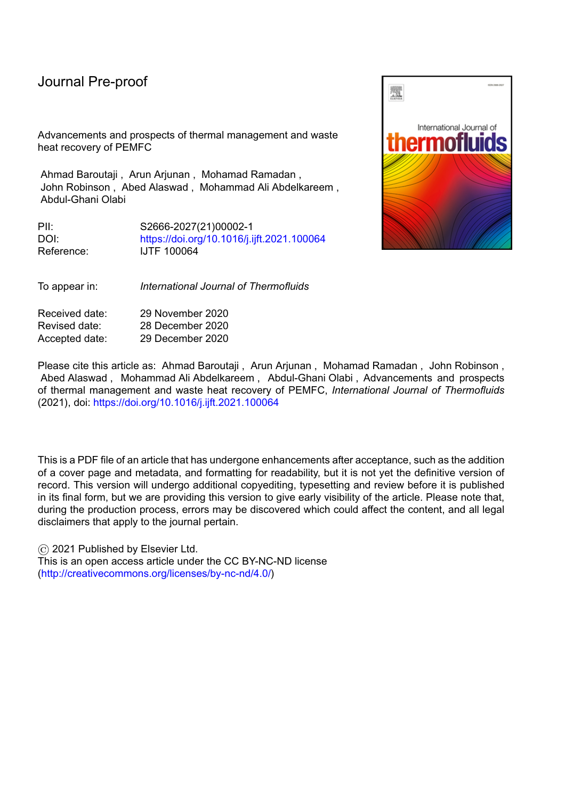l

OUT T



Figure 11: Illustration of PEMFC-based CHP system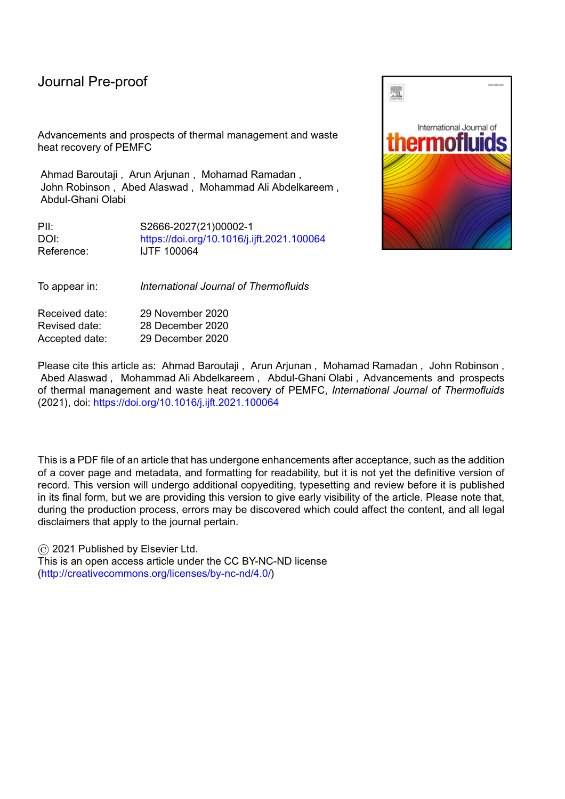SER O

Journ



Figure 12: Illustration of an absorption chiller system using PEMFC waste heat to drive the generator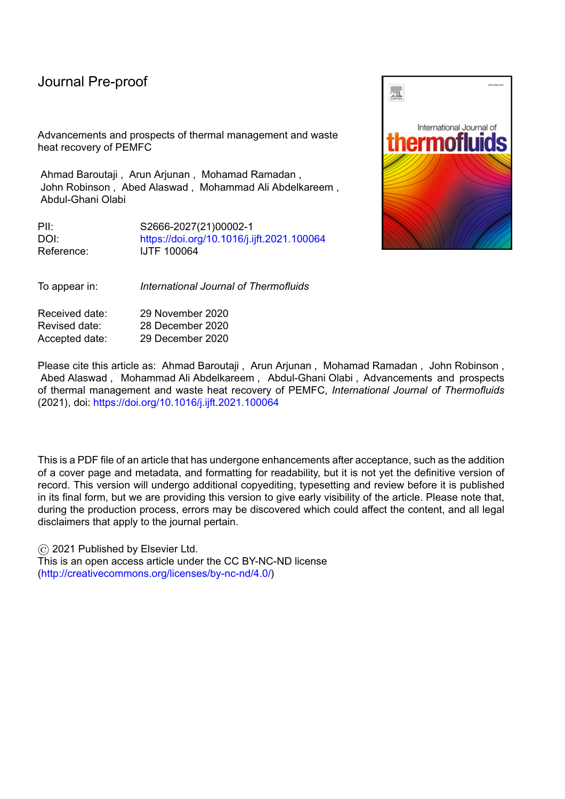

Figure 13: Illustration of ORC system using PEMFC heat in the evaporator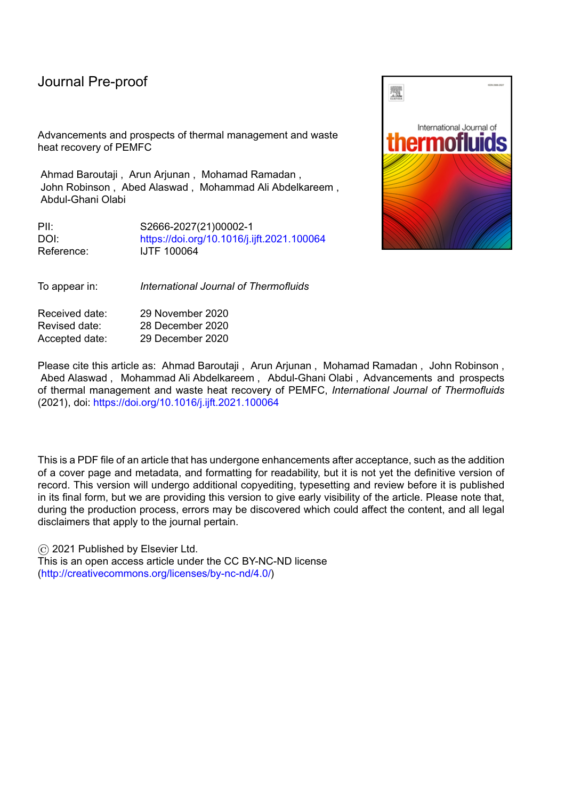Table 1: Advantages and drawbacks of PEMFC cooling methods

| PEMFC cooling<br>method | Summary                                                                                                                                                                 | Advantages                                                                                                                                | <b>Drawbacks</b>                                                                                                                                                                                       |
|-------------------------|-------------------------------------------------------------------------------------------------------------------------------------------------------------------------|-------------------------------------------------------------------------------------------------------------------------------------------|--------------------------------------------------------------------------------------------------------------------------------------------------------------------------------------------------------|
| Heat spreader           | Passive cooling technique<br>achieved using highly<br>thermally conductive material<br>or heat pipes                                                                    | Simple design and<br>operation<br>Doesn't require a coolant<br>$\bullet$<br>circulation system                                            | Only suitable for PEMFC with a low<br>٠<br>power level                                                                                                                                                 |
| Air-cooling             | Uses either extra amounts of<br>air in the cathode or separate<br>air channels to provide the<br>required cooling for the<br>device                                     | Low cost<br>$\bullet$<br>Requires less<br>maintenance<br>Has high reliability<br>$\bullet$                                                | Low cooling performance, thus it is<br>٠<br>only suitable for small devices                                                                                                                            |
| Liquid cooling          | Deionized water or nanofluids<br>are used as coolants. The<br>cooling channels can either be<br>integrated into the bipolar<br>plate or in dedicated cooling<br>plates. | Excellent cooling<br>$\bullet$<br>performance particularly<br>when using nanofluids.<br>Can control and optimize<br>the cooling capacity. | Has low energy efficiency due to high<br>$\bullet$<br>parasitic losses.<br>Requires coolant circulation system and<br>$\bullet$<br>thus it needs greater space to<br>accommodate the extra components. |
| Phase-change cooling    | Uses the latent heat of the<br>coolant to maintain the<br>acceptable operating<br>temperature of the PEMFC. It<br>can be either boiling or<br>evaporative cooling.      | Simple cooling system<br>with high capacity and<br>compact size<br>Doesn't require coolant<br>circulation system                          | More expensive compared to the other<br>$\bullet$<br>passive cooling.<br>The evaporation rate is hard to be<br>$\bullet$<br>controlled                                                                 |
|                         |                                                                                                                                                                         |                                                                                                                                           |                                                                                                                                                                                                        |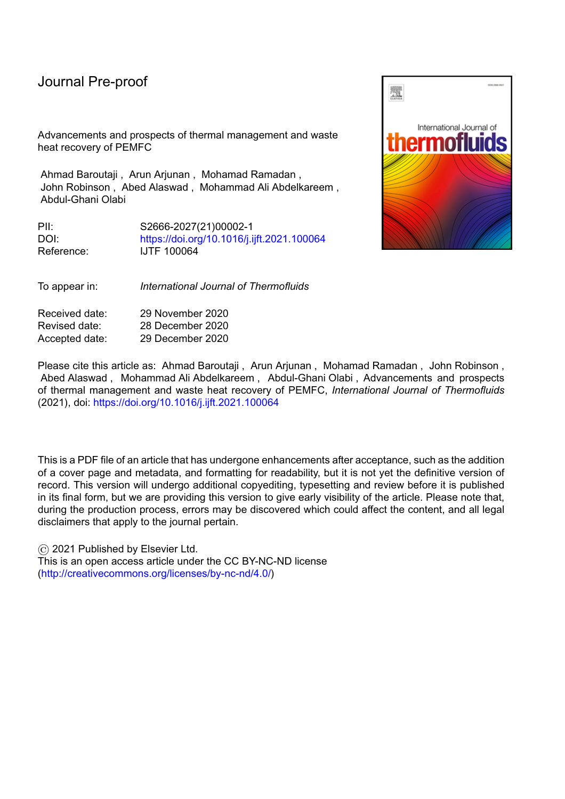|  | Table 2: Advantages and drawbacks of PEMFC-WHR routes |  |  |  |
|--|-------------------------------------------------------|--|--|--|
|--|-------------------------------------------------------|--|--|--|

| PEMFC-WHR route                      | Advantages                                                                                                                                                                                                                                                                                                                                                    | <b>Drawbacks</b>                                                                                                                                                                                                                                                                                                                                                              |  |
|--------------------------------------|---------------------------------------------------------------------------------------------------------------------------------------------------------------------------------------------------------------------------------------------------------------------------------------------------------------------------------------------------------------|-------------------------------------------------------------------------------------------------------------------------------------------------------------------------------------------------------------------------------------------------------------------------------------------------------------------------------------------------------------------------------|--|
| Releasing hydrogen<br>from MH tanks  | Enhancing the hydrogen discharge rate from the MH tanks without<br>$\bullet$<br>the need for an external heat source or increasing the size of the MH<br>tanks<br>Improving the efficiency of the PEMFC system by reducing the<br>$\bullet$<br>parasitic energy consumption required in case of using other sources<br>of heat                                | Additional components are required to facilitate the<br>thermal coupling between the MH tank and the PEMFC<br>which may increase the overall mass of the power system<br>Metal fins should be mounted on the external surface of<br>MH tanks when it is coupled with air-cooled PEMFC to<br>enhance the heat transfer coefficient. Those fins increase<br>the MH tank volume. |  |
| Preheating the<br>reactants          | Highly beneficial for PEMFC systems operating in cold weather<br>$\bullet$<br>Can reduce the start-up time of the PEMFC system in cold weather<br>$\bullet$<br>Decreasing the energy demand of the system by eliminating the need<br>٠<br>for an external heater.                                                                                             | More complicated design of the PEMFC system.<br>$\bullet$                                                                                                                                                                                                                                                                                                                     |  |
| Provide heating in<br><b>CHP</b>     | Reducing the overall GHG emissions.<br>$\bullet$<br>Reducing electricity costs<br>$\bullet$<br>PEMFC-based CHP has a shorter start-up time compared to SOFC-<br>$\bullet$<br>based CHP.                                                                                                                                                                       | High initial and investment cost.<br>$\bullet$                                                                                                                                                                                                                                                                                                                                |  |
| Drive chillers in CCP<br>system      | CCP allows for reducing demand on electricity supply required for<br>$\bullet$<br>cooling<br>Absorption and adsorption chillers have low environmental impact as<br>$\bullet$<br>they use environmentally friendly refrigerants<br>Suitable for WHR from both HT-PEMFC and LT-PEMFC using<br>$\bullet$<br>absorption and adsorption chillers, respectively.   | Relatively-high capital cost<br>The PEMFC waste heat is only suitable to drive<br>absorption and adsorption chillers which have lower<br>cooling performance and a lower coefficient of<br>performance (COP) in comparison with the conventional<br>vapour compression refrigeration systems                                                                                  |  |
| Power generation using<br><b>ORC</b> | Generating additional power and improving the efficiency of the<br>$\bullet$<br>PEMFC system<br>ORC is suitable for low-grade waste heat because it uses working<br>fluids with low evaporation temperature.<br>ORC has less erosion risk than that of the steam cycle as the working<br>$\bullet$<br>fluid within the ORC remains dry throughout the process | ORC has higher cost and produces less power than a<br>steam cycle operating with similar conditions.<br>Working fluids of ORC are combustible and this might<br>$\bullet$<br>cause a serious environmental hazard in case of leaking.                                                                                                                                         |  |
|                                      |                                                                                                                                                                                                                                                                                                                                                               |                                                                                                                                                                                                                                                                                                                                                                               |  |